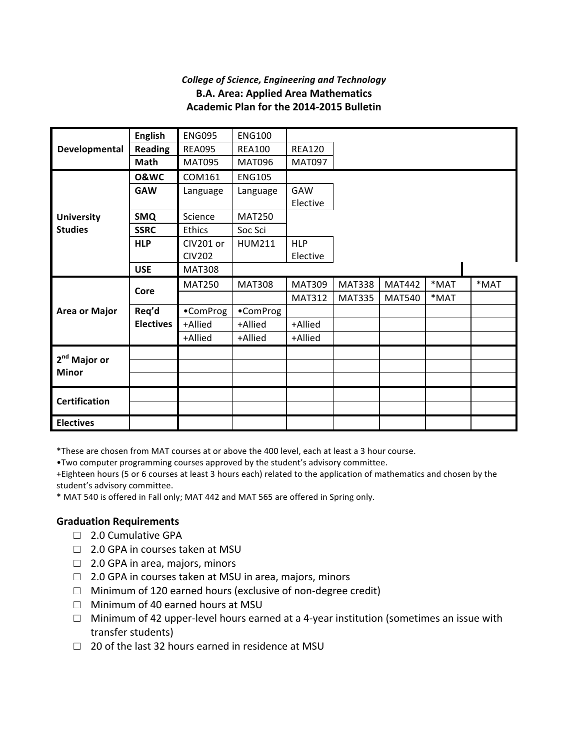## *College of Science, Engineering and Technology* **B.A. Area: Applied Area Mathematics Academic Plan for the 2014-2015 Bulletin**

|                          | <b>English</b>   | <b>ENG095</b>    | <b>ENG100</b> |               |               |               |      |      |  |
|--------------------------|------------------|------------------|---------------|---------------|---------------|---------------|------|------|--|
| Developmental            | <b>Reading</b>   | <b>REA095</b>    | <b>REA100</b> | <b>REA120</b> |               |               |      |      |  |
|                          | Math             | <b>MAT095</b>    | <b>MAT096</b> | <b>MAT097</b> |               |               |      |      |  |
|                          | <b>O&amp;WC</b>  | COM161           | <b>ENG105</b> |               |               |               |      |      |  |
|                          | <b>GAW</b>       | Language         | Language      | GAW           |               |               |      |      |  |
|                          |                  |                  |               | Elective      |               |               |      |      |  |
| <b>University</b>        | <b>SMQ</b>       | Science          | <b>MAT250</b> |               |               |               |      |      |  |
| <b>Studies</b>           | <b>SSRC</b>      | Ethics           | Soc Sci       |               |               |               |      |      |  |
|                          | <b>HLP</b>       | <b>CIV201 or</b> | <b>HUM211</b> | <b>HLP</b>    |               |               |      |      |  |
|                          |                  | <b>CIV202</b>    |               | Elective      |               |               |      |      |  |
|                          | <b>USE</b>       | <b>MAT308</b>    |               |               |               |               |      |      |  |
|                          | Core             | <b>MAT250</b>    | <b>MAT308</b> | <b>MAT309</b> | <b>MAT338</b> | <b>MAT442</b> | *MAT | *MAT |  |
|                          |                  |                  |               |               |               |               |      |      |  |
|                          |                  |                  |               | <b>MAT312</b> | <b>MAT335</b> | <b>MAT540</b> | *MAT |      |  |
| <b>Area or Major</b>     | Req'd            | •ComProg         | •ComProg      |               |               |               |      |      |  |
|                          | <b>Electives</b> | +Allied          | +Allied       | +Allied       |               |               |      |      |  |
|                          |                  | +Allied          | +Allied       | +Allied       |               |               |      |      |  |
|                          |                  |                  |               |               |               |               |      |      |  |
| 2 <sup>nd</sup> Major or |                  |                  |               |               |               |               |      |      |  |
| <b>Minor</b>             |                  |                  |               |               |               |               |      |      |  |
|                          |                  |                  |               |               |               |               |      |      |  |
| <b>Certification</b>     |                  |                  |               |               |               |               |      |      |  |

\*These are chosen from MAT courses at or above the 400 level, each at least a 3 hour course.

. Two computer programming courses approved by the student's advisory committee.

+Eighteen hours (5 or 6 courses at least 3 hours each) related to the application of mathematics and chosen by the student's advisory committee.

\* MAT 540 is offered in Fall only; MAT 442 and MAT 565 are offered in Spring only.

## **Graduation Requirements**

- □ 2.0 Cumulative GPA
- $\Box$  2.0 GPA in courses taken at MSU
- $\Box$  2.0 GPA in area, majors, minors
- $\Box$  2.0 GPA in courses taken at MSU in area, majors, minors
- $\Box$  Minimum of 120 earned hours (exclusive of non-degree credit)
- $\Box$  Minimum of 40 earned hours at MSU
- $\Box$  Minimum of 42 upper-level hours earned at a 4-year institution (sometimes an issue with transfer students)
- $\Box$  20 of the last 32 hours earned in residence at MSU